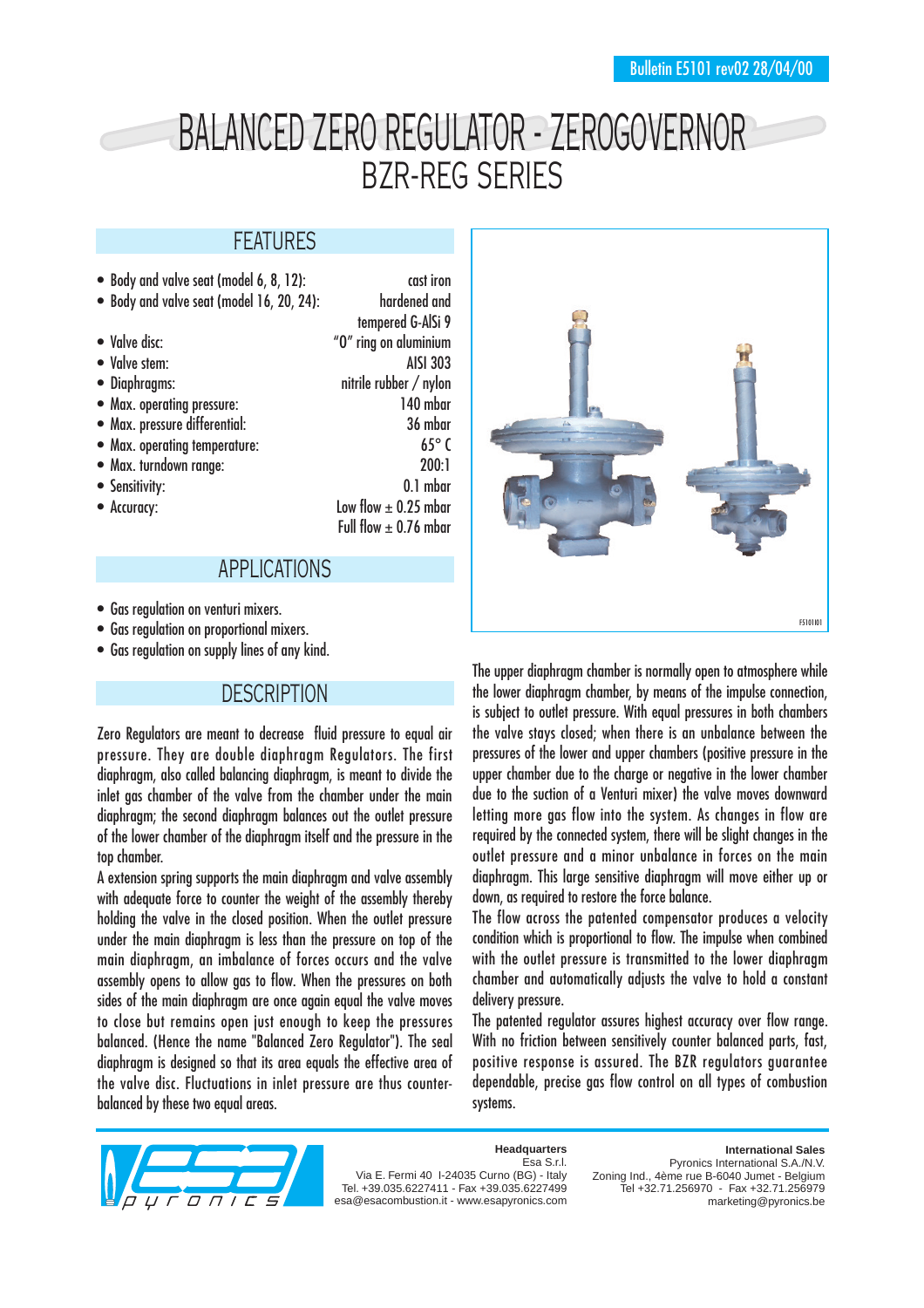# BALANCED ZERO REGULATOR - ZEROGOVERNOR BZR-REG SERIES

## FEATURES

- Body and valve seat (model 6, 8, 12): cast iron
- Body and valve seat (model 16, 20, 24): hardened and
- Valve disc:  $0''$  ring on aluminium
- 
- Valve stem: AISI 303
- Max. operating pressure: 140 mbar
- Max. pressure differential: 36 mbar
- $\bullet$  Max. operating temperature:
- Max. turndown range: 200:1
- Sensitivity: 0.1 mbar
- Accuracy:  $\bullet$  Low flow  $\pm$  0.25 mbar

## APPLICATIONS

- Gas regulation on venturi mixers.
- Gas regulation on proportional mixers.
- Gas regulation on supply lines of any kind.

#### **DESCRIPTION**

Zero Regulators are meant to decrease fluid pressure to equal air pressure. They are double diaphragm Regulators. The first diaphragm, also called balancing diaphragm, is meant to divide the inlet gas chamber of the valve from the chamber under the main diaphragm; the second diaphragm balances out the outlet pressure of the lower chamber of the diaphragm itself and the pressure in the top chamber.

A extension spring supports the main diaphragm and valve assembly with adequate force to counter the weight of the assembly thereby holding the valve in the closed position. When the outlet pressure under the main diaphragm is less than the pressure on top of the main diaphragm, an imbalance of forces occurs and the valve assembly opens to allow gas to flow. When the pressures on both sides of the main diaphragm are once again equal the valve moves to close but remains open just enough to keep the pressures balanced. (Hence the name "Balanced Zero Regulator"). The seal diaphragm is designed so that its area equals the effective area of the valve disc. Fluctuations in inlet pressure are thus counterbalanced by these two equal areas.



The upper diaphraam chamber is normally open to atmosphere while the lower diaphragm chamber, by means of the impulse connection, is subject to outlet pressure. With equal pressures in both chambers the valve stays closed; when there is an unbalance between the pressures of the lower and upper chambers (positive pressure in the upper chamber due to the charge or negative in the lower chamber due to the suction of a Venturi mixer) the valve moves downward letting more gas flow into the system. As changes in flow are required by the connected system, there will be slight changes in the outlet pressure and a minor unbalance in forces on the main diaphragm. This large sensitive diaphragm will move either up or down, as required to restore the force balance.

The flow across the patented compensator produces a velocity condition which is proportional to flow. The impulse when combined with the outlet pressure is transmitted to the lower diaphraam chamber and automatically adjusts the valve to hold a constant delivery pressure.

The patented regulator assures highest accuracy over flow range. With no friction between sensitively counter balanced parts, fast, positive response is assured. The BZR regulators guarantee dependable, precise gas flow control on all types of combustion systems.



**Headquarters** Esa S.r.l. Via E. Fermi 40 I-24035 Curno (BG) - Italy Tel. +39.035.6227411 - Fax +39.035.6227499 esa@esacombustion.it - www.esapyronics.com

**International Sales** Pyronics International S.A./N.V. Zoning Ind., 4ème rue B-6040 Jumet - Belgium Tel +32.71.256970 - Fax +32.71.256979 marketing@pyronics.be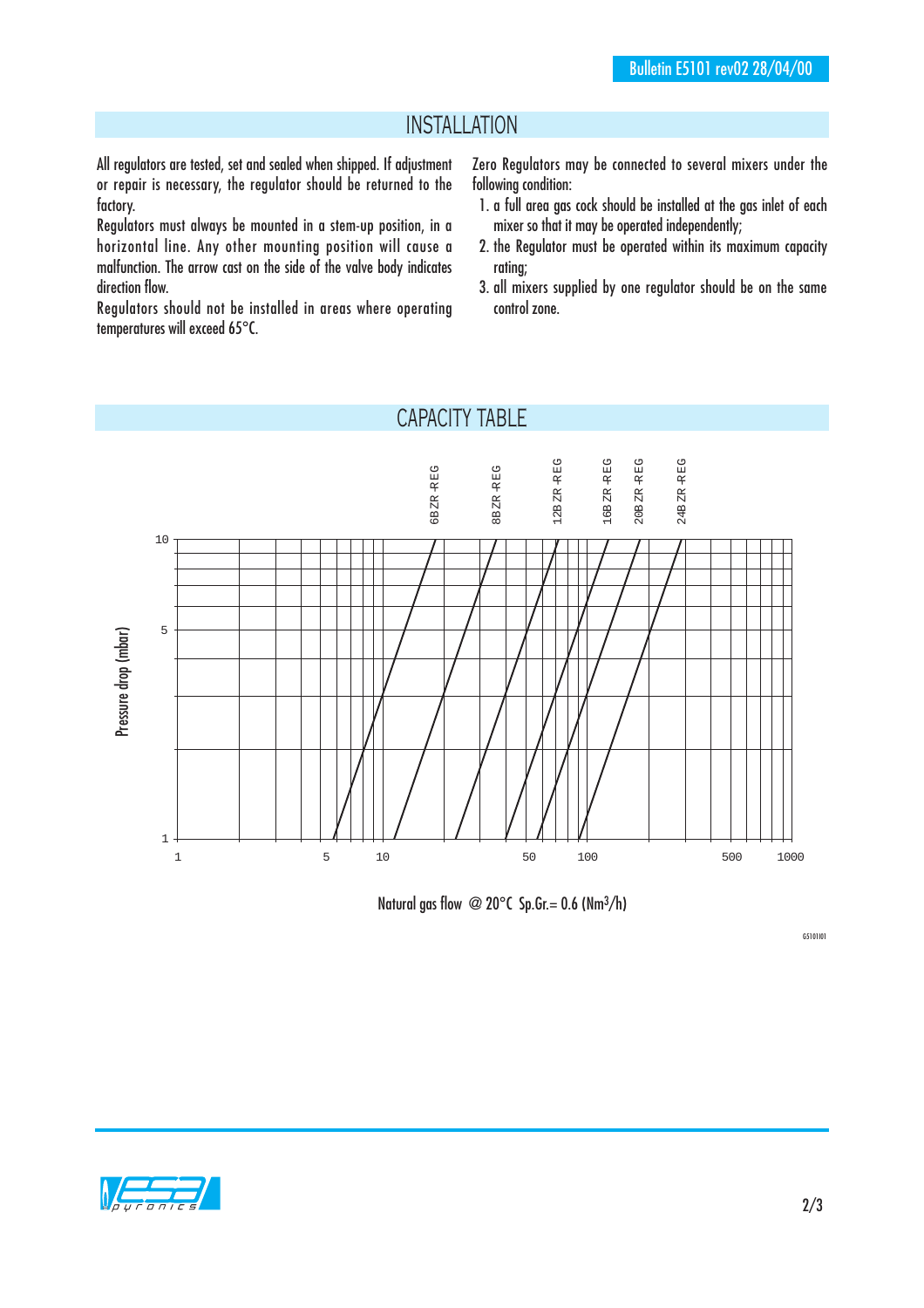## INSTALLATION

All regulators are tested, set and sealed when shipped. If adjustment or repair is necessary, the regulator should be returned to the factory.

Regulators must always be mounted in a stem-up position, in a horizontal line. Any other mounting position will cause a malfunction. The arrow cast on the side of the valve body indicates direction flow.

Regulators should not be installed in areas where operating temperatures will exceed 65°C.

Zero Regulators may be connected to several mixers under the following condition:

- 1. a full area gas cock should be installed at the gas inlet of each mixer so that it may be operated independently;
- 2. the Regulator must be operated within its maximum capacity rating;
- 3. all mixers supplied by one regulator should be on the same control zone.





G5101I01